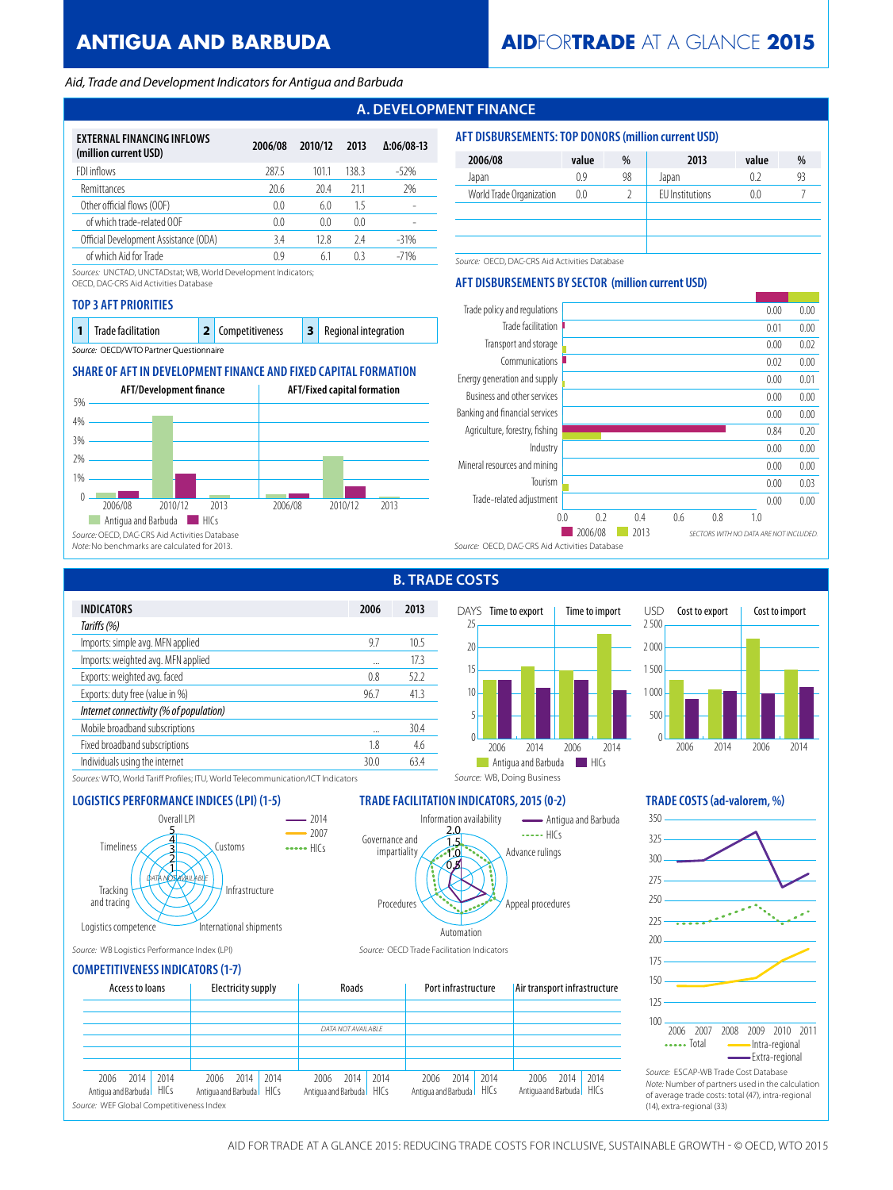# **ANTIGUA AND BARBUDA**

# **AID**FOR**TRADE** AT A GLANCE **2015**

### *Aid, Trade and Development Indicators for Antigua and Barbuda*

# **A. DEVELOPMENT FINANCE**

| EXTERNAL FINANCING INFLOWS<br>(million current USD) | 2006/08        | 2010/12 | 2013  | $\Delta:06/08-13$ |
|-----------------------------------------------------|----------------|---------|-------|-------------------|
| FDI inflows                                         | 287.5          | 1011    | 138.3 | $-52%$            |
| Remittances                                         | 20.6           | 20.4    | 211   | 2%                |
| Other official flows (OOF)                          | 0 <sub>0</sub> | 6.0     | 15    |                   |
| of which trade-related OOF                          | 0.0            | 0.0     | 0.0   |                   |
| Official Development Assistance (ODA)               | 3.4            | 12.8    | 24    | $-31%$            |
| of which Aid for Trade                              | 09             | 61      | 03    | $-71%$            |

*Sources:* UNCTAD, UNCTADstat; WB, World Development Indicators;

OECD, DAC-CRS Aid Activities Database

### **TOP 3 AFT PRIORITIES**

| <b>Trade facilitation</b>              |  | 2 Competitiveness |  | <b>3</b> Regional integration |  |  |  |  |
|----------------------------------------|--|-------------------|--|-------------------------------|--|--|--|--|
| Source: OECD/WTO Partner Questionnaire |  |                   |  |                               |  |  |  |  |

### **SHARE OF AFT IN DEVELOPMENT FINANCE AND FIXED CAPITAL FORMATION**



| <b>AFT DISBURSEMENTS: TOP DONORS (million current USD)</b> |       |    |                        |       |    |  |  |  |
|------------------------------------------------------------|-------|----|------------------------|-------|----|--|--|--|
| 2006/08                                                    | value | %  | 2013                   | value | %  |  |  |  |
| Japan                                                      | 0.9   | 98 | Japan                  | 0.2   | 93 |  |  |  |
| World Trade Organization                                   | 0.0   |    | <b>FU</b> Institutions | 0.0   |    |  |  |  |
|                                                            |       |    |                        |       |    |  |  |  |
|                                                            |       |    |                        |       |    |  |  |  |
|                                                            |       |    |                        |       |    |  |  |  |

*Source:* OECD, DAC-CRS Aid Activities Database

### **AFT DISBURSEMENTS BY SECTOR (million current USD)**



**B. TRADE COSTS**

| <b>INDICATORS</b>                       | 2006 | 2013            |
|-----------------------------------------|------|-----------------|
| Tariffs (%)                             |      |                 |
| Imports: simple avg. MFN applied        | 97   | 10 <sub>5</sub> |
| Imports: weighted avg. MFN applied      |      | 173             |
| Exports: weighted avg. faced            | 0.8  | 522             |
| Exports: duty free (value in %)         | 96.7 | 41.3            |
| Internet connectivity (% of population) |      |                 |
| Mobile broadband subscriptions          |      | 30.4            |
| Fixed broadband subscriptions           | 18   | 4.6             |
| Individuals using the internet          | 30 Q | 634             |
|                                         |      |                 |





*Sources:* WTO, World Tariff Profiles; ITU, World Telecommunication/ICT Indicators



## **LOGISTICS PERFORMANCE INDICES (LPI) (1-5) TRADE FACILITATION INDICATORS, 2015 (0-2) TRADE COSTS (ad-valorem, %)**

*Source:* WB, Doing Business



*Source:* WB Logistics Performance Index (LPI) *Source:* OECD Trade Facilitation Indicators



**COMPETITIVENESS INDICATORS (1-7)**

| Access to loans                                                                             |                          | Electricity supply |      |                                  | Roads              |      |                                  | Port infrastructure |      | Air transport infrastructure     |      |      | $\cup$                                                                                                  |
|---------------------------------------------------------------------------------------------|--------------------------|--------------------|------|----------------------------------|--------------------|------|----------------------------------|---------------------|------|----------------------------------|------|------|---------------------------------------------------------------------------------------------------------|
|                                                                                             |                          |                    |      |                                  | DATA NOT AVAILABLE |      |                                  |                     |      |                                  |      |      | 100<br>2007 20<br>2006                                                                                  |
|                                                                                             |                          |                    |      |                                  |                    |      |                                  |                     |      |                                  |      |      | $\cdots$ Total                                                                                          |
| 2014   2014<br>2006<br>Antigua and Barbuda HICs<br>Source: WEF Global Competitiveness Index | Antiqua and Barbuda HICs | 2006 2014          | 2014 | 2006<br>Antiqua and Barbuda HICs | 2014               | 2014 | 2006<br>Antiqua and Barbuda HICs | 2014                | 2014 | 2006<br>Antiqua and Barbuda HICs | 2014 | 2014 | Source: ESCAP-WB Trad<br>Note: Number of partne<br>of average trade costs:<br>(14), extra-regional (33) |